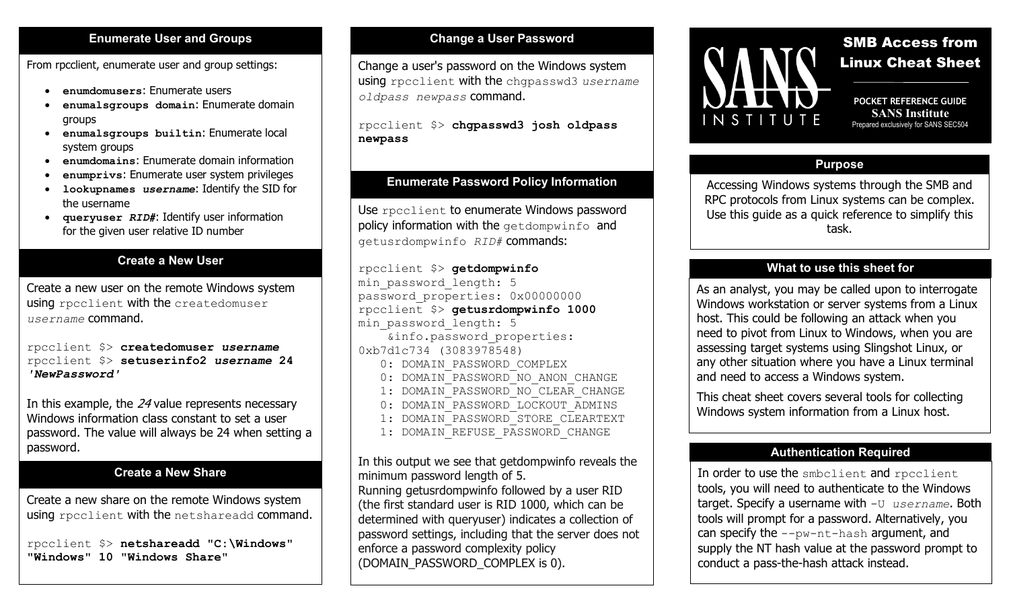#### **Enumerate User and Groups**

From rpcclient, enumerate user and group settings:

- **enumdomusers**: Enumerate users
- **enumalsgroups domain**: Enumerate domain groups
- **enumalsgroups builtin**: Enumerate local system groups
- **enumdomains**: Enumerate domain information
- **enumprivs**: Enumerate user system privileges
- **lookupnames** *username*: Identify the SID for the username
- **queryuser** *RID#*: Identify user information for the given user relative ID number

## **Create a New User**

Create a new user on the remote Windows system using rpcclient with the createdomuser *username* command.

rpcclient \$> **createdomuser** *username* rpcclient \$> **setuserinfo2** *username* **24**  *'NewPassword'*

In this example, the 24 value represents necessary Windows information class constant to set a user password. The value will always be 24 when setting a password.

#### **Create a New Share**

Create a new share on the remote Windows system using rpcclient with the netshareadd command.

rpcclient \$> **netshareadd "C:\Windows" "Windows" 10 "Windows Share"**

### **Change a User Password**

Change a user's password on the Windows system using rpcclient with the chgpasswd3 *username oldpass newpass* command.

rpcclient \$> **chgpasswd3 josh oldpass newpass**

## **Enumerate Password Policy Information**

Use rpcclient to enumerate Windows password policy information with the getdompwinfo and getusrdompwinfo *RID#* commands:

rpcclient \$> **getdompwinfo** min password length: 5 password properties: 0x00000000 rpcclient \$> **getusrdompwinfo 1000** min password length: 5 &info.password\_properties: 0xb7d1c734 (3083978548) 0: DOMAIN PASSWORD COMPLEX 0: DOMAIN PASSWORD NO ANON CHANGE 1: DOMAIN PASSWORD NO CLEAR CHANGE 0: DOMAIN PASSWORD LOCKOUT ADMINS 1: DOMAIN\_PASSWORD\_STORE\_CLEARTEXT 1: DOMAIN REFUSE PASSWORD CHANGE

In this output we see that getdompwinfo reveals the minimum password length of 5.

Running getusrdompwinfo followed by a user RID (the first standard user is RID 1000, which can be determined with queryuser) indicates a collection of password settings, including that the server does not enforce a password complexity policy (DOMAIN\_PASSWORD\_COMPLEX is 0).



# SMB Access from Linux Cheat Sheet

**POCKET REFERENCE GUIDE SANS Institute** Prepared exclusively for SANS SEC504

#### **Purpose**

Accessing Windows systems through the SMB and RPC protocols from Linux systems can be complex. Use this guide as a quick reference to simplify this task.

# **What to use this sheet for**

As an analyst, you may be called upon to interrogate Windows workstation or server systems from a Linux host. This could be following an attack when you need to pivot from Linux to Windows, when you are assessing target systems using Slingshot Linux, or any other situation where you have a Linux terminal and need to access a Windows system.

This cheat sheet covers several tools for collecting Windows system information from a Linux host.

#### **Authentication Required**

In order to use the smbclient and rpcclient tools, you will need to authenticate to the Windows target. Specify a username with -U *username*. Both tools will prompt for a password. Alternatively, you can specify the --pw-nt-hash argument, and supply the NT hash value at the password prompt to conduct a pass-the-hash attack instead.